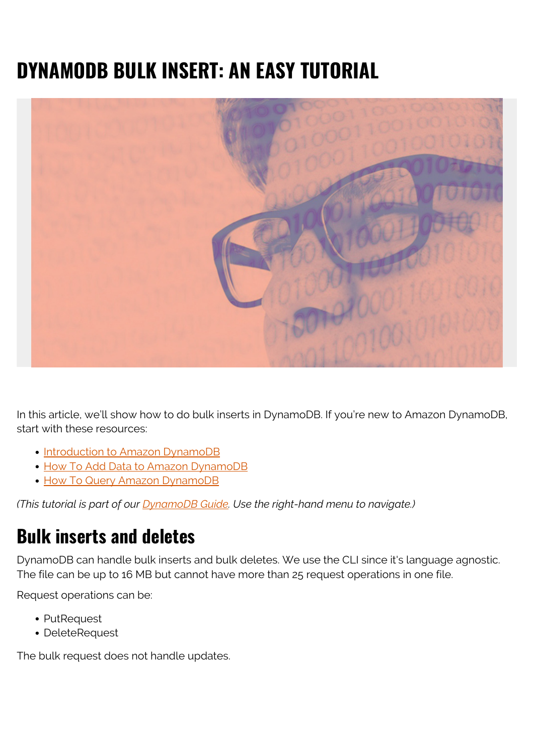# **DYNAMODB BULK INSERT: AN EASY TUTORIAL**



In this article, we'll show how to do bulk inserts in DynamoDB. If you're new to Amazon DynamoDB, start with these resources:

- [Introduction to Amazon DynamoDB](https://blogs.bmc.com/blogs/amazon-dynamodb/)
- [How To Add Data to Amazon DynamoDB](https://blogs.bmc.com/blogs/dynamodb-adding-data/)
- [How To Query Amazon DynamoDB](https://blogs.bmc.com/blogs/dynamodb-queries/)

*(This tutorial is part of our [DynamoDB Guide.](https://blogs.bmc.com/blogs/amazon-dynamodb/) Use the right-hand menu to navigate.)*

#### **Bulk inserts and deletes**

DynamoDB can handle bulk inserts and bulk deletes. We use the CLI since it's language agnostic. The file can be up to 16 MB but cannot have more than 25 request operations in one file.

Request operations can be:

- PutRequest
- DeleteRequest

The bulk request does not handle updates.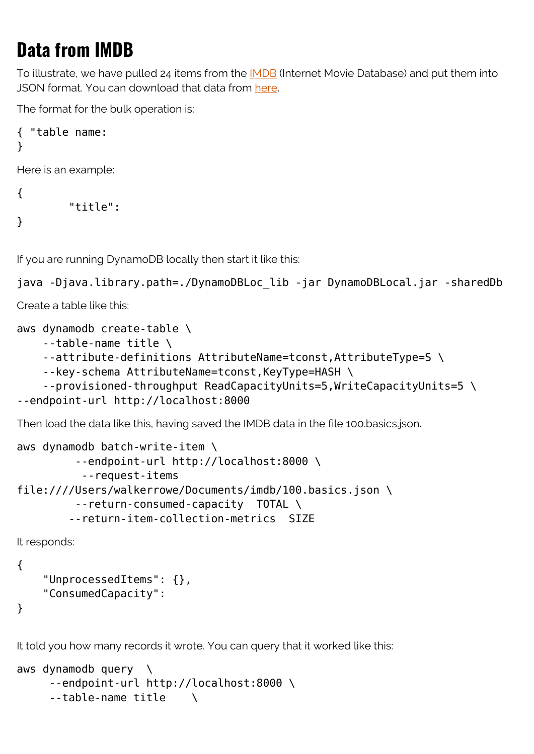# **Data from IMDB**

To illustrate, we have pulled 24 items from the [IMDB](https://www.imdb.com/) (Internet Movie Database) and put them into JSON format. You can download that data from [here](https://raw.githubusercontent.com/werowe/dynamodb/master/100.basics.json).

The format for the bulk operation is:

```
{ "table name:
}
```
Here is an example:

```
\{ "title":
}
```
If you are running DynamoDB locally then start it like this:

```
java -Djava.library.path=./DynamoDBLoc_lib -jar DynamoDBLocal.jar -sharedDb
```
Create a table like this:

```
aws dynamodb create-table \
```

```
 --table-name title \
```

```
 --attribute-definitions AttributeName=tconst,AttributeType=S \
```

```
 --key-schema AttributeName=tconst,KeyType=HASH \
```

```
 --provisioned-throughput ReadCapacityUnits=5,WriteCapacityUnits=5 \
```

```
--endpoint-url http://localhost:8000
```
Then load the data like this, having saved the IMDB data in the file 100.basics.json.

```
aws dynamodb batch-write-item \
          --endpoint-url http://localhost:8000 \
           --request-items
file:////Users/walkerrowe/Documents/imdb/100.basics.json \
          --return-consumed-capacity TOTAL \
         --return-item-collection-metrics SIZE
```
It responds:

```
{
```

```
 "UnprocessedItems": {},
 "ConsumedCapacity":
```
}

It told you how many records it wrote. You can query that it worked like this:

```
aws dynamodb query \setminus --endpoint-url http://localhost:8000 \
     -table-name title \setminus
```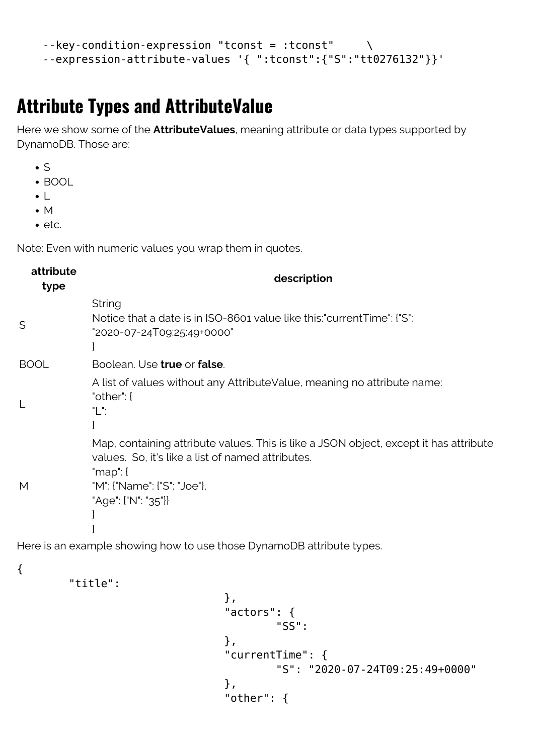```
--key-condition-expression "tconst = :tconst"
 --expression-attribute-values '{ ":tconst":{"S":"tt0276132"}}'
```
## **Attribute Types and AttributeValue**

Here we show some of the **AttributeValues**, meaning attribute or data types supported by DynamoDB. Those are:

- $\bullet$  S
- BOOL
- $\bullet$
- $\bullet$  M
- $e$ etc.

Note: Even with numeric values you wrap them in quotes.

| attribute<br>type | description                                                                                                                                                                                                      |
|-------------------|------------------------------------------------------------------------------------------------------------------------------------------------------------------------------------------------------------------|
| S                 | <b>String</b><br>Notice that a date is in ISO-8601 value like this:"currentTime": ["S":<br>"2020-07-24T09:25:49+0000"                                                                                            |
| <b>BOOL</b>       | Boolean. Use true or false.                                                                                                                                                                                      |
|                   | A list of values without any AttributeValue, meaning no attribute name:<br>"other": $\{$<br>"L":                                                                                                                 |
| M                 | Map, containing attribute values. This is like a JSON object, except it has attribute<br>values. So, it's like a list of named attributes.<br>" $map$ ": {<br>"M": {"Name": {"S": "Joe"},<br>"Age": {"N": "35"}} |

Here is an example showing how to use those DynamoDB attribute types.

{

"title":

```
\} , we have the set of \} ,
                         "actors": {
 "SS":
\} , we have the set of \} ,
                         "currentTime": {
                                "S": "2020-07-24T09:25:49+0000"
\} , we have the set of \} ,
                         "other": {
```